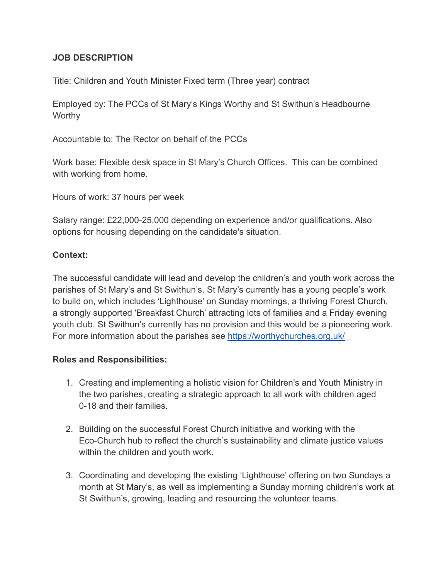## **JOB DESCRIPTION**

Title: Children and Youth Minister Fixed term (Three year) contract

Employed by: The PCCs of St Mary's Kings Worthy and St Swithun's Headbourne **Worthy** 

Accountable to: The Rector on behalf of the PCCs

Work base: Flexible desk space in St Mary's Church Offices. This can be combined with working from home.

Hours of work: 37 hours per week

Salary range: £22,000-25,000 depending on experience and/or qualifications. Also options for housing depending on the candidate's situation.

## **Context:**

The successful candidate will lead and develop the children's and youth work across the parishes of St Mary's and St Swithun's. St Mary's currently has a young people's work to build on, which includes 'Lighthouse' on Sunday mornings, a thriving Forest Church, a strongly supported 'Breakfast Church' attracting lots of families and a Friday evening youth club. St Swithun's currently has no provision and this would be a pioneering work. For more information about the parishes see <https://worthychurches.org.uk/>

## **Roles and Responsibilities:**

- 1. Creating and implementing a holistic vision for Children's and Youth Ministry in the two parishes, creating a strategic approach to all work with children aged 0-18 and their families.
- 2. Building on the successful Forest Church initiative and working with the Eco-Church hub to reflect the church's sustainability and climate justice values within the children and youth work.
- 3. Coordinating and developing the existing 'Lighthouse' offering on two Sundays a month at St Mary's, as well as implementing a Sunday morning children's work at St Swithun's, growing, leading and resourcing the volunteer teams.